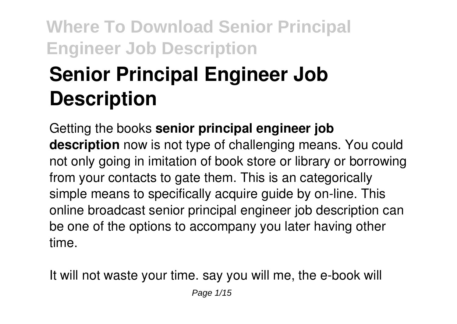# **Senior Principal Engineer Job Description**

Getting the books **senior principal engineer job description** now is not type of challenging means. You could not only going in imitation of book store or library or borrowing from your contacts to gate them. This is an categorically simple means to specifically acquire guide by on-line. This online broadcast senior principal engineer job description can be one of the options to accompany you later having other time.

It will not waste your time. say you will me, the e-book will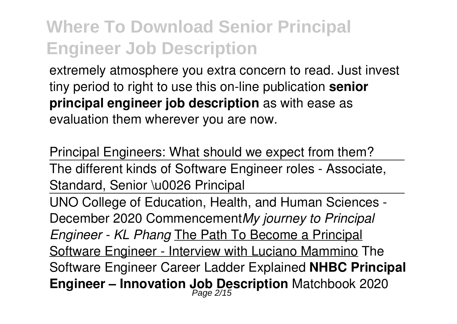extremely atmosphere you extra concern to read. Just invest tiny period to right to use this on-line publication **senior principal engineer job description** as with ease as evaluation them wherever you are now.

Principal Engineers: What should we expect from them? The different kinds of Software Engineer roles - Associate, Standard, Senior \u0026 Principal UNO College of Education, Health, and Human Sciences - December 2020 Commencement*My journey to Principal Engineer - KL Phang* The Path To Become a Principal Software Engineer - Interview with Luciano Mammino The Software Engineer Career Ladder Explained **NHBC Principal Engineer – Innovation Job Description** Matchbook 2020 Page 2/15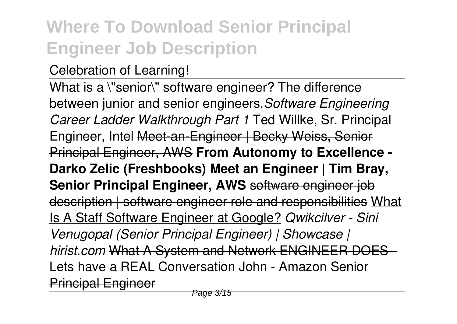#### Celebration of Learning!

What is a \"senior\" software engineer? The difference between junior and senior engineers.*Software Engineering Career Ladder Walkthrough Part 1* Ted Willke, Sr. Principal Engineer, Intel Meet-an-Engineer | Becky Weiss, Senior Principal Engineer, AWS **From Autonomy to Excellence - Darko Zelic (Freshbooks) Meet an Engineer | Tim Bray, Senior Principal Engineer, AWS** software engineer job description | software engineer role and responsibilities What Is A Staff Software Engineer at Google? *Qwikcilver - Sini Venugopal (Senior Principal Engineer) | Showcase | hirist.com* What A System and Network ENGINEER DOES - Lets have a REAL Conversation John - Amazon Senior Principal Engineer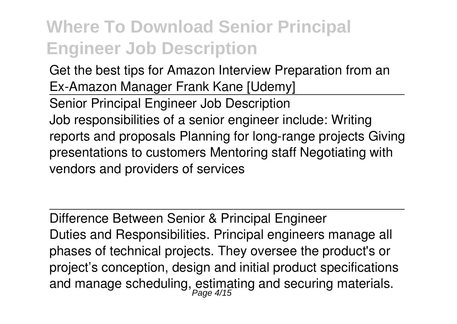Get the best tips for Amazon Interview Preparation from an Ex-Amazon Manager Frank Kane [Udemy] Senior Principal Engineer Job Description Job responsibilities of a senior engineer include: Writing reports and proposals Planning for long-range projects Giving presentations to customers Mentoring staff Negotiating with vendors and providers of services

Difference Between Senior & Principal Engineer Duties and Responsibilities. Principal engineers manage all phases of technical projects. They oversee the product's or project's conception, design and initial product specifications and manage scheduling, estimating and securing materials.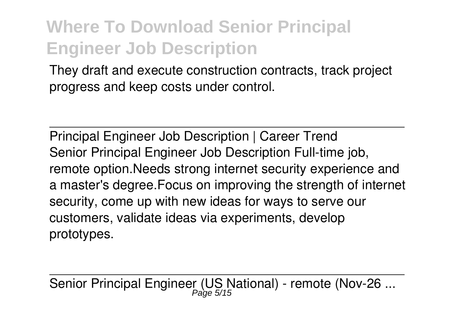They draft and execute construction contracts, track project progress and keep costs under control.

Principal Engineer Job Description | Career Trend Senior Principal Engineer Job Description Full-time job, remote option.Needs strong internet security experience and a master's degree.Focus on improving the strength of internet security, come up with new ideas for ways to serve our customers, validate ideas via experiments, develop prototypes.

Senior Principal Engineer (US National) - remote (Nov-26 ...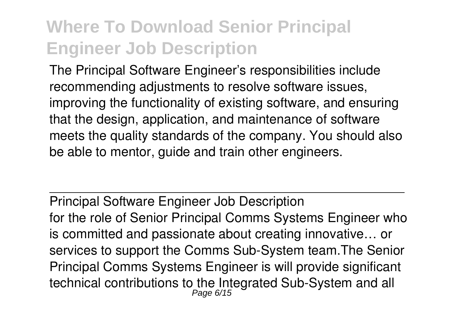The Principal Software Engineer's responsibilities include recommending adjustments to resolve software issues, improving the functionality of existing software, and ensuring that the design, application, and maintenance of software meets the quality standards of the company. You should also be able to mentor, guide and train other engineers.

Principal Software Engineer Job Description for the role of Senior Principal Comms Systems Engineer who is committed and passionate about creating innovative… or services to support the Comms Sub-System team.The Senior Principal Comms Systems Engineer is will provide significant technical contributions to the Integrated Sub-System and all Page 6/15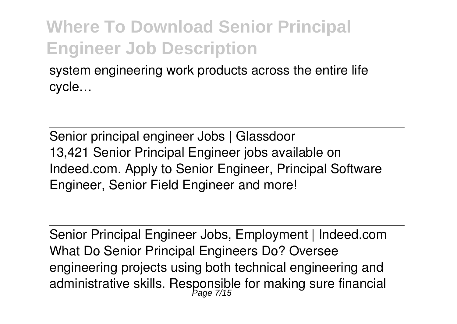system engineering work products across the entire life cycle…

Senior principal engineer Jobs | Glassdoor 13,421 Senior Principal Engineer jobs available on Indeed.com. Apply to Senior Engineer, Principal Software Engineer, Senior Field Engineer and more!

Senior Principal Engineer Jobs, Employment | Indeed.com What Do Senior Principal Engineers Do? Oversee engineering projects using both technical engineering and administrative skills. Responsible for making sure financial Page 7/15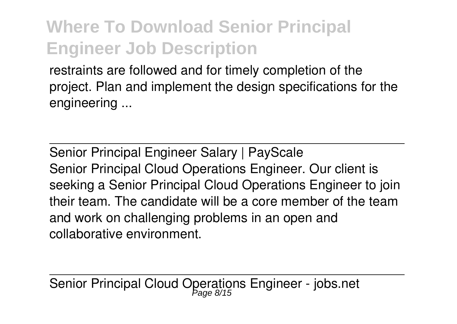restraints are followed and for timely completion of the project. Plan and implement the design specifications for the engineering ...

Senior Principal Engineer Salary | PayScale Senior Principal Cloud Operations Engineer. Our client is seeking a Senior Principal Cloud Operations Engineer to join their team. The candidate will be a core member of the team and work on challenging problems in an open and collaborative environment.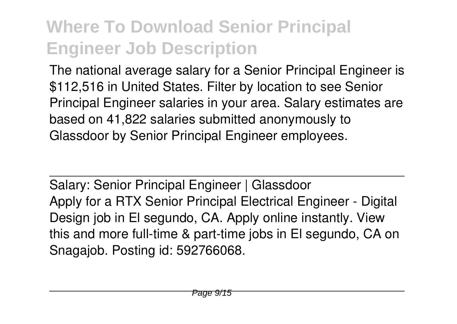The national average salary for a Senior Principal Engineer is \$112,516 in United States. Filter by location to see Senior Principal Engineer salaries in your area. Salary estimates are based on 41,822 salaries submitted anonymously to Glassdoor by Senior Principal Engineer employees.

Salary: Senior Principal Engineer | Glassdoor Apply for a RTX Senior Principal Electrical Engineer - Digital Design job in El segundo, CA. Apply online instantly. View this and more full-time & part-time jobs in El segundo, CA on Snagajob. Posting id: 592766068.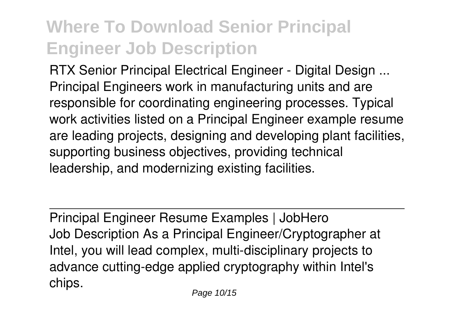RTX Senior Principal Electrical Engineer - Digital Design ... Principal Engineers work in manufacturing units and are responsible for coordinating engineering processes. Typical work activities listed on a Principal Engineer example resume are leading projects, designing and developing plant facilities, supporting business objectives, providing technical leadership, and modernizing existing facilities.

Principal Engineer Resume Examples | JobHero Job Description As a Principal Engineer/Cryptographer at Intel, you will lead complex, multi-disciplinary projects to advance cutting-edge applied cryptography within Intel's chips.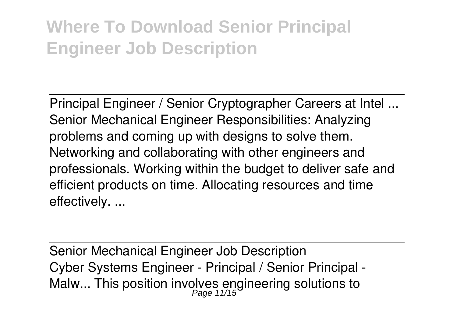Principal Engineer / Senior Cryptographer Careers at Intel ... Senior Mechanical Engineer Responsibilities: Analyzing problems and coming up with designs to solve them. Networking and collaborating with other engineers and professionals. Working within the budget to deliver safe and efficient products on time. Allocating resources and time effectively. ...

Senior Mechanical Engineer Job Description Cyber Systems Engineer - Principal / Senior Principal - Malw... This position involves engineering solutions to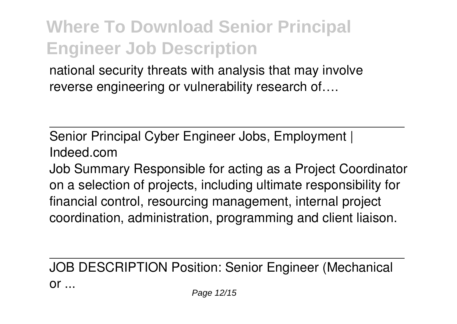national security threats with analysis that may involve reverse engineering or vulnerability research of….

Senior Principal Cyber Engineer Jobs, Employment | Indeed.com

Job Summary Responsible for acting as a Project Coordinator on a selection of projects, including ultimate responsibility for financial control, resourcing management, internal project coordination, administration, programming and client liaison.

JOB DESCRIPTION Position: Senior Engineer (Mechanical  $or$ ...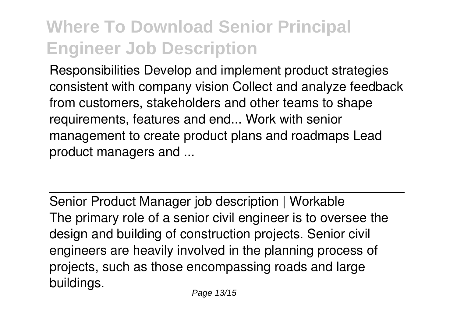Responsibilities Develop and implement product strategies consistent with company vision Collect and analyze feedback from customers, stakeholders and other teams to shape requirements, features and end... Work with senior management to create product plans and roadmaps Lead product managers and ...

Senior Product Manager job description | Workable The primary role of a senior civil engineer is to oversee the design and building of construction projects. Senior civil engineers are heavily involved in the planning process of projects, such as those encompassing roads and large buildings.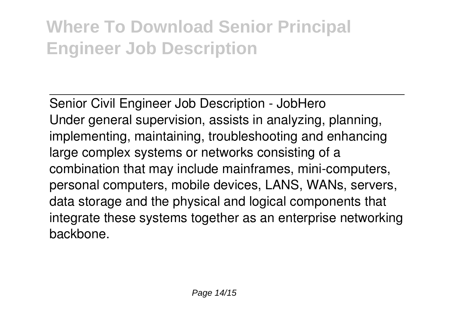Senior Civil Engineer Job Description - JobHero Under general supervision, assists in analyzing, planning, implementing, maintaining, troubleshooting and enhancing large complex systems or networks consisting of a combination that may include mainframes, mini-computers, personal computers, mobile devices, LANS, WANs, servers, data storage and the physical and logical components that integrate these systems together as an enterprise networking backbone.